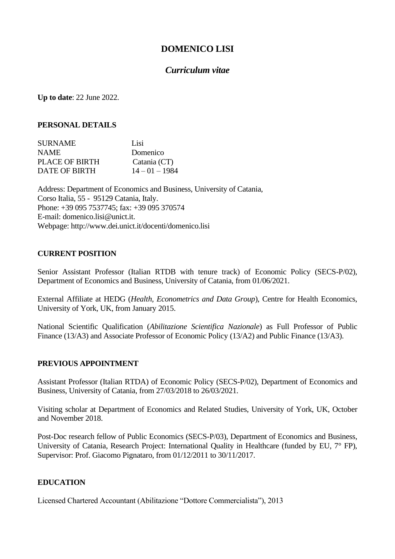# **DOMENICO LISI**

# *Curriculum vitae*

**Up to date**: 22 June 2022.

# **PERSONAL DETAILS**

| <b>SURNAME</b> | Lisi             |
|----------------|------------------|
| <b>NAME</b>    | Domenico         |
| PLACE OF BIRTH | Catania (CT)     |
| DATE OF BIRTH  | $14 - 01 - 1984$ |

Address: Department of Economics and Business, University of Catania, Corso Italia, 55 - 95129 Catania, Italy. Phone: +39 095 7537745; fax: +39 095 370574 E-mail: domenico.lisi@unict.it. Webpage: http://www.dei.unict.it/docenti/domenico.lisi

# **CURRENT POSITION**

Senior Assistant Professor (Italian RTDB with tenure track) of Economic Policy (SECS-P/02), Department of Economics and Business, University of Catania, from 01/06/2021.

External Affiliate at HEDG (*Health, Econometrics and Data Group*), Centre for Health Economics, University of York, UK, from January 2015.

National Scientific Qualification (*Abilitazione Scientifica Nazionale*) as Full Professor of Public Finance (13/A3) and Associate Professor of Economic Policy (13/A2) and Public Finance (13/A3).

# **PREVIOUS APPOINTMENT**

Assistant Professor (Italian RTDA) of Economic Policy (SECS-P/02), Department of Economics and Business, University of Catania, from 27/03/2018 to 26/03/2021.

Visiting scholar at Department of Economics and Related Studies, University of York, UK, October and November 2018.

Post-Doc research fellow of Public Economics (SECS-P/03), Department of Economics and Business, University of Catania, Research Project: International Quality in Healthcare (funded by EU,  $7^{\circ}$  FP), Supervisor: Prof. Giacomo Pignataro, from 01/12/2011 to 30/11/2017.

# **EDUCATION**

Licensed Chartered Accountant (Abilitazione "Dottore Commercialista"), 2013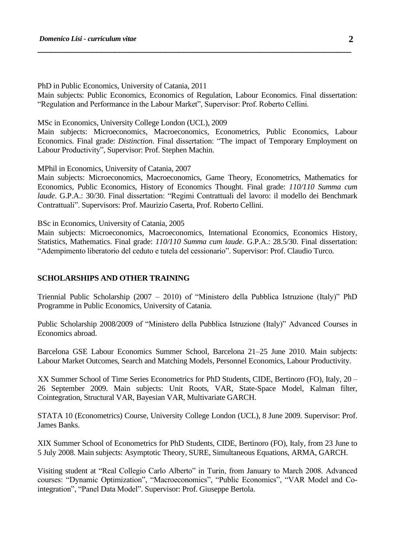PhD in Public Economics, University of Catania, 2011

Main subjects: Public Economics, Economics of Regulation, Labour Economics. Final dissertation: "Regulation and Performance in the Labour Market", Supervisor: Prof. Roberto Cellini.

**\_\_\_\_\_\_\_\_\_\_\_\_\_\_\_\_\_\_\_\_\_\_\_\_\_\_\_\_\_\_\_\_\_\_\_\_\_\_\_\_\_\_\_\_\_\_\_\_\_\_\_\_\_\_\_\_\_\_\_\_\_\_\_\_\_\_\_\_\_**

MSc in Economics, University College London (UCL), 2009

Main subjects: Microeconomics, Macroeconomics, Econometrics, Public Economics, Labour Economics. Final grade: *Distinction*. Final dissertation: "The impact of Temporary Employment on Labour Productivity", Supervisor: Prof. Stephen Machin.

MPhil in Economics, University of Catania, 2007

Main subjects: Microeconomics, Macroeconomics, Game Theory, Econometrics, Mathematics for Economics, Public Economics, History of Economics Thought. Final grade: *110/110 Summa cum laude*. G.P.A.: 30/30. Final dissertation: "Regimi Contrattuali del lavoro: il modello dei Benchmark Contrattuali". Supervisors: Prof. Maurizio Caserta, Prof. Roberto Cellini.

BSc in Economics, University of Catania, 2005

Main subjects: Microeconomics, Macroeconomics, International Economics, Economics History, Statistics, Mathematics. Final grade: *110/110 Summa cum laude*. G.P.A.: 28.5/30. Final dissertation: "Adempimento liberatorio del ceduto e tutela del cessionario". Supervisor: Prof. Claudio Turco.

### **SCHOLARSHIPS AND OTHER TRAINING**

Triennial Public Scholarship (2007 – 2010) of "Ministero della Pubblica Istruzione (Italy)" PhD Programme in Public Economics, University of Catania.

Public Scholarship 2008/2009 of "Ministero della Pubblica Istruzione (Italy)" Advanced Courses in Economics abroad.

Barcelona GSE Labour Economics Summer School, Barcelona 21–25 June 2010. Main subjects: Labour Market Outcomes, Search and Matching Models, Personnel Economics, Labour Productivity.

XX Summer School of Time Series Econometrics for PhD Students, CIDE, Bertinoro (FO), Italy, 20 – 26 September 2009. Main subjects: Unit Roots, VAR, State-Space Model, Kalman filter, Cointegration, Structural VAR, Bayesian VAR, Multivariate GARCH.

STATA 10 (Econometrics) Course, University College London (UCL), 8 June 2009. Supervisor: Prof. James Banks.

XIX Summer School of Econometrics for PhD Students, CIDE, Bertinoro (FO), Italy, from 23 June to 5 July 2008. Main subjects: Asymptotic Theory, SURE, Simultaneous Equations, ARMA, GARCH.

Visiting student at "Real Collegio Carlo Alberto" in Turin, from January to March 2008. Advanced courses: "Dynamic Optimization", "Macroeconomics", "Public Economics", "VAR Model and Cointegration", "Panel Data Model". Supervisor: Prof. Giuseppe Bertola.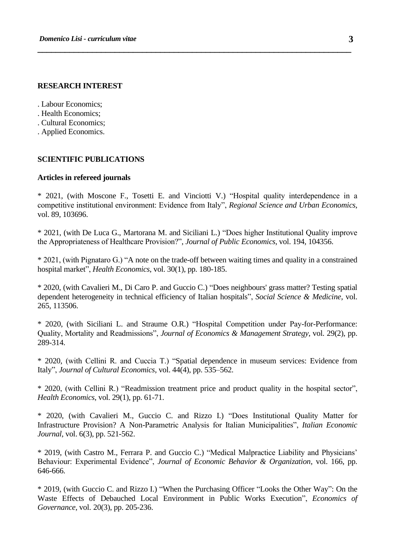### **RESEARCH INTEREST**

- . Labour Economics;
- . Health Economics;
- . Cultural Economics;
- . Applied Economics.

#### **SCIENTIFIC PUBLICATIONS**

#### **Articles in refereed journals**

\* 2021, (with Moscone F., Tosetti E. and Vinciotti V.) "Hospital quality interdependence in a competitive institutional environment: Evidence from Italy", *Regional Science and Urban Economics*, vol. 89, 103696.

**\_\_\_\_\_\_\_\_\_\_\_\_\_\_\_\_\_\_\_\_\_\_\_\_\_\_\_\_\_\_\_\_\_\_\_\_\_\_\_\_\_\_\_\_\_\_\_\_\_\_\_\_\_\_\_\_\_\_\_\_\_\_\_\_\_\_\_\_\_**

\* 2021, (with De Luca G., Martorana M. and Siciliani L.) "Does higher Institutional Quality improve the Appropriateness of Healthcare Provision?", *Journal of Public Economics*, vol. 194, 104356.

\* 2021, (with Pignataro G.) "A note on the trade-off between waiting times and quality in a constrained hospital market", *Health Economics*, vol. 30(1), pp. 180-185.

\* 2020, (with Cavalieri M., Di Caro P. and Guccio C.) "Does neighbours' grass matter? Testing spatial dependent heterogeneity in technical efficiency of Italian hospitals", *Social Science & Medicine*, vol. 265, 113506.

\* 2020, (with Siciliani L. and Straume O.R.) "Hospital Competition under Pay-for-Performance: Quality, Mortality and Readmissions", *Journal of Economics & Management Strategy*, vol. 29(2), pp. 289-314.

\* 2020, (with Cellini R. and Cuccia T.) "Spatial dependence in museum services: Evidence from Italy", *Journal of Cultural Economics*, vol. 44(4), pp. 535–562.

\* 2020, (with Cellini R.) "Readmission treatment price and product quality in the hospital sector", *Health Economics*, vol. 29(1), pp. 61-71.

\* 2020, (with Cavalieri M., Guccio C. and Rizzo I.) "Does Institutional Quality Matter for Infrastructure Provision? A Non-Parametric Analysis for Italian Municipalities", *Italian Economic Journal*, vol. 6(3), pp. 521-562.

\* 2019, (with Castro M., Ferrara P. and Guccio C.) "Medical Malpractice Liability and Physicians' Behaviour: Experimental Evidence", *Journal of Economic Behavior & Organization*, vol. 166, pp. 646-666.

\* 2019, (with Guccio C. and Rizzo I.) "When the Purchasing Officer "Looks the Other Way": On the Waste Effects of Debauched Local Environment in Public Works Execution", *Economics of Governance*, vol. 20(3), pp. 205-236.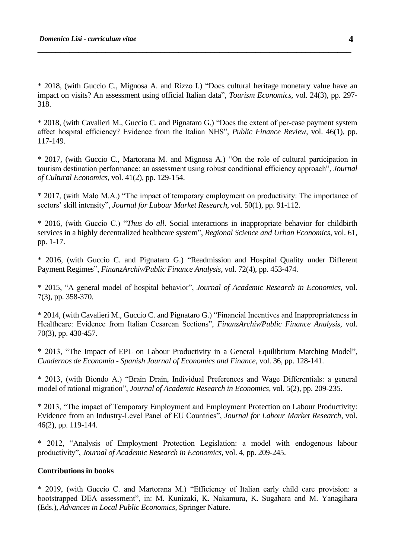\* 2018, (with Guccio C., Mignosa A. and Rizzo I.) "Does cultural heritage monetary value have an impact on visits? An assessment using official Italian data", *Tourism Economics*, vol. 24(3), pp. 297- 318.

**\_\_\_\_\_\_\_\_\_\_\_\_\_\_\_\_\_\_\_\_\_\_\_\_\_\_\_\_\_\_\_\_\_\_\_\_\_\_\_\_\_\_\_\_\_\_\_\_\_\_\_\_\_\_\_\_\_\_\_\_\_\_\_\_\_\_\_\_\_**

\* 2018, (with Cavalieri M., Guccio C. and Pignataro G.) "Does the extent of per-case payment system affect hospital efficiency? Evidence from the Italian NHS", *Public Finance Review*, vol. 46(1), pp. 117-149.

\* 2017, (with Guccio C., Martorana M. and Mignosa A.) "On the role of cultural participation in tourism destination performance: an assessment using robust conditional efficiency approach", *Journal of Cultural Economics*, vol. 41(2), pp. 129-154.

\* 2017, (with Malo M.A.) "The impact of temporary employment on productivity: The importance of sectors' skill intensity", *Journal for Labour Market Research*, vol. 50(1), pp. 91-112.

\* 2016, (with Guccio C.) "*Thus do all*. Social interactions in inappropriate behavior for childbirth services in a highly decentralized healthcare system", *Regional Science and Urban Economics*, vol. 61, pp. 1-17.

\* 2016, (with Guccio C. and Pignataro G.) "Readmission and Hospital Quality under Different Payment Regimes", *FinanzArchiv/Public Finance Analysis*, vol. 72(4), pp. 453-474.

\* 2015, "A general model of hospital behavior", *Journal of Academic Research in Economics*, vol. 7(3), pp. 358-370.

\* 2014, (with Cavalieri M., Guccio C. and Pignataro G.) "Financial Incentives and Inappropriateness in Healthcare: Evidence from Italian Cesarean Sections", *FinanzArchiv/Public Finance Analysis*, vol. 70(3), pp. 430-457.

\* 2013, "The Impact of EPL on Labour Productivity in a General Equilibrium Matching Model", *Cuadernos de Economía - Spanish Journal of Economics and Finance*, vol. 36, pp. 128-141.

\* 2013, (with Biondo A.) "Brain Drain, Individual Preferences and Wage Differentials: a general model of rational migration", *Journal of Academic Research in Economics*, vol. 5(2), pp. 209-235.

\* 2013, "The impact of Temporary Employment and Employment Protection on Labour Productivity: Evidence from an Industry-Level Panel of EU Countries", *Journal for Labour Market Research*, vol. 46(2), pp. 119-144.

\* 2012, "Analysis of Employment Protection Legislation: a model with endogenous labour productivity", *Journal of Academic Research in Economics*, vol. 4, pp. 209-245.

# **Contributions in books**

\* 2019, (with Guccio C. and Martorana M.) "Efficiency of Italian early child care provision: a bootstrapped DEA assessment", in: M. Kunizaki, K. Nakamura, K. Sugahara and M. Yanagihara (Eds.), *Advances in Local Public Economics*, Springer Nature.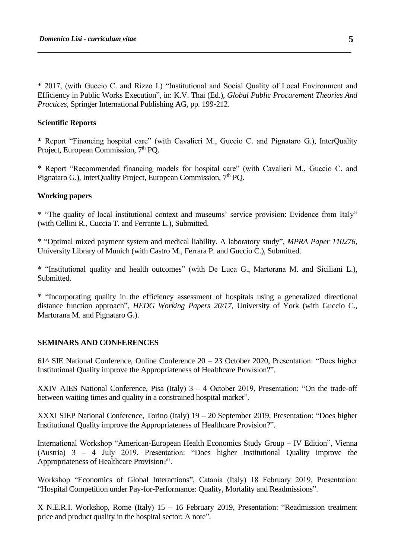\* 2017, (with Guccio C. and Rizzo I.) "Institutional and Social Quality of Local Environment and Efficiency in Public Works Execution", in: K.V. Thai (Ed.), *Global Public Procurement Theories And Practices*, Springer International Publishing AG, pp. 199-212.

**\_\_\_\_\_\_\_\_\_\_\_\_\_\_\_\_\_\_\_\_\_\_\_\_\_\_\_\_\_\_\_\_\_\_\_\_\_\_\_\_\_\_\_\_\_\_\_\_\_\_\_\_\_\_\_\_\_\_\_\_\_\_\_\_\_\_\_\_\_**

#### **Scientific Reports**

\* Report "Financing hospital care" (with Cavalieri M., Guccio C. and Pignataro G.), InterQuality Project, European Commission, 7<sup>th</sup> PO.

\* Report "Recommended financing models for hospital care" (with Cavalieri M., Guccio C. and Pignataro G.), InterQuality Project, European Commission, 7<sup>th</sup> PQ.

### **Working papers**

\* "The quality of local institutional context and museums' service provision: Evidence from Italy" (with Cellini R., Cuccia T. and Ferrante L.), Submitted.

\* "Optimal mixed payment system and medical liability. A laboratory study", *MPRA Paper 110276*, University Library of Munich (with Castro M., Ferrara P. and Guccio C.), Submitted.

\* "Institutional quality and health outcomes" (with De Luca G., Martorana M. and Siciliani L.), **Submitted** 

\* "Incorporating quality in the efficiency assessment of hospitals using a generalized directional distance function approach", *HEDG Working Papers 20/17*, University of York (with Guccio C., Martorana M. and Pignataro G.).

#### **SEMINARS AND CONFERENCES**

61^ SIE National Conference, Online Conference 20 – 23 October 2020, Presentation: "Does higher Institutional Quality improve the Appropriateness of Healthcare Provision?".

XXIV AIES National Conference, Pisa (Italy)  $3 - 4$  October 2019, Presentation: "On the trade-off between waiting times and quality in a constrained hospital market".

XXXI SIEP National Conference, Torino (Italy) 19 – 20 September 2019, Presentation: "Does higher Institutional Quality improve the Appropriateness of Healthcare Provision?".

International Workshop "American-European Health Economics Study Group – IV Edition", Vienna (Austria) 3 – 4 July 2019, Presentation: "Does higher Institutional Quality improve the Appropriateness of Healthcare Provision?".

Workshop "Economics of Global Interactions", Catania (Italy) 18 February 2019, Presentation: "Hospital Competition under Pay-for-Performance: Quality, Mortality and Readmissions".

X N.E.R.I. Workshop, Rome (Italy) 15 – 16 February 2019, Presentation: "Readmission treatment price and product quality in the hospital sector: A note".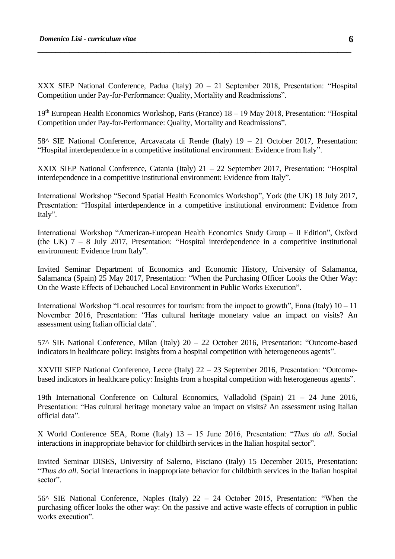XXX SIEP National Conference, Padua (Italy) 20 – 21 September 2018, Presentation: "Hospital Competition under Pay-for-Performance: Quality, Mortality and Readmissions".

**\_\_\_\_\_\_\_\_\_\_\_\_\_\_\_\_\_\_\_\_\_\_\_\_\_\_\_\_\_\_\_\_\_\_\_\_\_\_\_\_\_\_\_\_\_\_\_\_\_\_\_\_\_\_\_\_\_\_\_\_\_\_\_\_\_\_\_\_\_**

19th European Health Economics Workshop, Paris (France) 18 – 19 May 2018, Presentation: "Hospital Competition under Pay-for-Performance: Quality, Mortality and Readmissions".

58^ SIE National Conference, Arcavacata di Rende (Italy) 19 – 21 October 2017, Presentation: "Hospital interdependence in a competitive institutional environment: Evidence from Italy".

XXIX SIEP National Conference, Catania (Italy) 21 – 22 September 2017, Presentation: "Hospital interdependence in a competitive institutional environment: Evidence from Italy".

International Workshop "Second Spatial Health Economics Workshop", York (the UK) 18 July 2017, Presentation: "Hospital interdependence in a competitive institutional environment: Evidence from Italy".

International Workshop "American-European Health Economics Study Group – II Edition", Oxford (the UK) 7 – 8 July 2017, Presentation: "Hospital interdependence in a competitive institutional environment: Evidence from Italy".

Invited Seminar Department of Economics and Economic History, University of Salamanca, Salamanca (Spain) 25 May 2017, Presentation: "When the Purchasing Officer Looks the Other Way: On the Waste Effects of Debauched Local Environment in Public Works Execution".

International Workshop "Local resources for tourism: from the impact to growth", Enna (Italy) 10 – 11 November 2016, Presentation: "Has cultural heritage monetary value an impact on visits? An assessment using Italian official data".

57^ SIE National Conference, Milan (Italy) 20 – 22 October 2016, Presentation: "Outcome-based indicators in healthcare policy: Insights from a hospital competition with heterogeneous agents".

XXVIII SIEP National Conference, Lecce (Italy) 22 – 23 September 2016, Presentation: "Outcomebased indicators in healthcare policy: Insights from a hospital competition with heterogeneous agents".

19th International Conference on Cultural Economics, Valladolid (Spain) 21 – 24 June 2016, Presentation: "Has cultural heritage monetary value an impact on visits? An assessment using Italian official data".

X World Conference SEA, Rome (Italy) 13 – 15 June 2016, Presentation: "*Thus do all*. Social interactions in inappropriate behavior for childbirth services in the Italian hospital sector".

Invited Seminar DISES, University of Salerno, Fisciano (Italy) 15 December 2015, Presentation: "*Thus do all*. Social interactions in inappropriate behavior for childbirth services in the Italian hospital sector".

56^ SIE National Conference, Naples (Italy) 22 – 24 October 2015, Presentation: "When the purchasing officer looks the other way: On the passive and active waste effects of corruption in public works execution".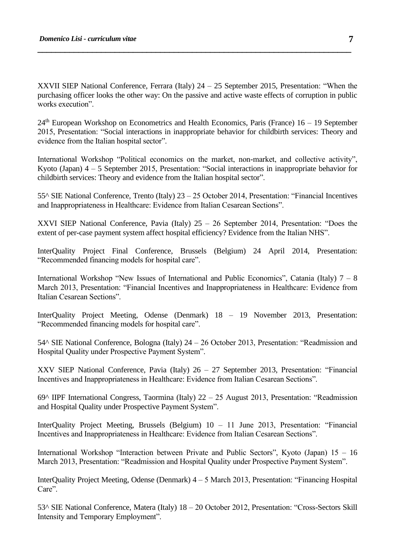XXVII SIEP National Conference, Ferrara (Italy) 24 – 25 September 2015, Presentation: "When the purchasing officer looks the other way: On the passive and active waste effects of corruption in public works execution".

**\_\_\_\_\_\_\_\_\_\_\_\_\_\_\_\_\_\_\_\_\_\_\_\_\_\_\_\_\_\_\_\_\_\_\_\_\_\_\_\_\_\_\_\_\_\_\_\_\_\_\_\_\_\_\_\_\_\_\_\_\_\_\_\_\_\_\_\_\_**

 $24<sup>th</sup>$  European Workshop on Econometrics and Health Economics, Paris (France) 16 – 19 September 2015, Presentation: "Social interactions in inappropriate behavior for childbirth services: Theory and evidence from the Italian hospital sector".

International Workshop "Political economics on the market, non-market, and collective activity", Kyoto (Japan) 4 – 5 September 2015, Presentation: "Social interactions in inappropriate behavior for childbirth services: Theory and evidence from the Italian hospital sector".

55^ SIE National Conference, Trento (Italy) 23 – 25 October 2014, Presentation: "Financial Incentives and Inappropriateness in Healthcare: Evidence from Italian Cesarean Sections".

XXVI SIEP National Conference, Pavia (Italy) 25 – 26 September 2014, Presentation: "Does the extent of per-case payment system affect hospital efficiency? Evidence from the Italian NHS".

InterQuality Project Final Conference, Brussels (Belgium) 24 April 2014, Presentation: "Recommended financing models for hospital care".

International Workshop "New Issues of International and Public Economics", Catania (Italy)  $7 - 8$ March 2013, Presentation: "Financial Incentives and Inappropriateness in Healthcare: Evidence from Italian Cesarean Sections".

InterQuality Project Meeting, Odense (Denmark) 18 – 19 November 2013, Presentation: "Recommended financing models for hospital care".

54^ SIE National Conference, Bologna (Italy) 24 – 26 October 2013, Presentation: "Readmission and Hospital Quality under Prospective Payment System".

XXV SIEP National Conference, Pavia (Italy) 26 – 27 September 2013, Presentation: "Financial Incentives and Inappropriateness in Healthcare: Evidence from Italian Cesarean Sections".

69^ IIPF International Congress, Taormina (Italy) 22 – 25 August 2013, Presentation: "Readmission and Hospital Quality under Prospective Payment System".

InterQuality Project Meeting, Brussels (Belgium) 10 – 11 June 2013, Presentation: "Financial Incentives and Inappropriateness in Healthcare: Evidence from Italian Cesarean Sections".

International Workshop "Interaction between Private and Public Sectors", Kyoto (Japan) 15 – 16 March 2013, Presentation: "Readmission and Hospital Quality under Prospective Payment System".

InterQuality Project Meeting, Odense (Denmark) 4 – 5 March 2013, Presentation: "Financing Hospital Care".

53^ SIE National Conference, Matera (Italy) 18 – 20 October 2012, Presentation: "Cross-Sectors Skill Intensity and Temporary Employment".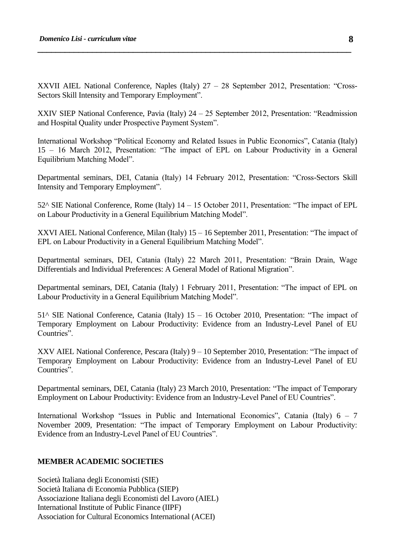XXVII AIEL National Conference, Naples (Italy) 27 – 28 September 2012, Presentation: "Cross-Sectors Skill Intensity and Temporary Employment".

**\_\_\_\_\_\_\_\_\_\_\_\_\_\_\_\_\_\_\_\_\_\_\_\_\_\_\_\_\_\_\_\_\_\_\_\_\_\_\_\_\_\_\_\_\_\_\_\_\_\_\_\_\_\_\_\_\_\_\_\_\_\_\_\_\_\_\_\_\_**

XXIV SIEP National Conference, Pavia (Italy) 24 – 25 September 2012, Presentation: "Readmission and Hospital Quality under Prospective Payment System".

International Workshop "Political Economy and Related Issues in Public Economics", Catania (Italy) 15 – 16 March 2012, Presentation: "The impact of EPL on Labour Productivity in a General Equilibrium Matching Model".

Departmental seminars, DEI, Catania (Italy) 14 February 2012, Presentation: "Cross-Sectors Skill Intensity and Temporary Employment".

52^ SIE National Conference, Rome (Italy) 14 – 15 October 2011, Presentation: "The impact of EPL on Labour Productivity in a General Equilibrium Matching Model".

XXVI AIEL National Conference, Milan (Italy) 15 – 16 September 2011, Presentation: "The impact of EPL on Labour Productivity in a General Equilibrium Matching Model".

Departmental seminars, DEI, Catania (Italy) 22 March 2011, Presentation: "Brain Drain, Wage Differentials and Individual Preferences: A General Model of Rational Migration".

Departmental seminars, DEI, Catania (Italy) 1 February 2011, Presentation: "The impact of EPL on Labour Productivity in a General Equilibrium Matching Model".

51^ SIE National Conference, Catania (Italy) 15 – 16 October 2010, Presentation: "The impact of Temporary Employment on Labour Productivity: Evidence from an Industry-Level Panel of EU Countries".

XXV AIEL National Conference, Pescara (Italy) 9 – 10 September 2010, Presentation: "The impact of Temporary Employment on Labour Productivity: Evidence from an Industry-Level Panel of EU Countries".

Departmental seminars, DEI, Catania (Italy) 23 March 2010, Presentation: "The impact of Temporary Employment on Labour Productivity: Evidence from an Industry-Level Panel of EU Countries".

International Workshop "Issues in Public and International Economics", Catania (Italy) 6 – 7 November 2009, Presentation: "The impact of Temporary Employment on Labour Productivity: Evidence from an Industry-Level Panel of EU Countries".

#### **MEMBER ACADEMIC SOCIETIES**

Società Italiana degli Economisti (SIE) Società Italiana di Economia Pubblica (SIEP) Associazione Italiana degli Economisti del Lavoro (AIEL) International Institute of Public Finance (IIPF) Association for Cultural Economics International (ACEI)